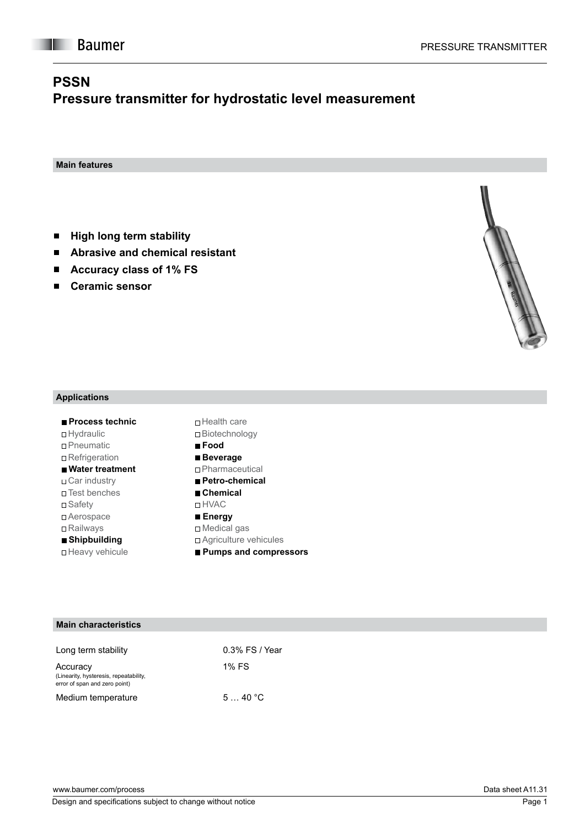**Main features**

**I** Baumer

- **High long term stability**  $\blacksquare$
- **Abrasive and chemical resistant**   $\blacksquare$
- **Accuracy class of 1% FS**   $\blacksquare$
- **Ceramic sensor**   $\blacksquare$



### **Applications**

| ■ Process technic              | □ Health care           |
|--------------------------------|-------------------------|
| □ Hydraulic                    | □ Biotechnolo           |
| □ Pneumatic                    | $\blacksquare$ Food     |
| □ Refrigeration                | ■ Beverage              |
| $\blacksquare$ Water treatment | □ Pharmaceu             |
| ⊤Car industrv                  | <b>■ Petro-chen</b>     |
| □ Test benches                 | $\blacksquare$ Chemical |
| □ Safety                       | □ HVAC                  |
| □ Aerospace                    | ■ Energy                |
| □ Railways                     | □ Medical gas           |
| ■ Shipbuilding                 | □ Agriculture           |
| □ Heavy vehicule               | ■ Pumps and             |

| □ Biotechnology         |
|-------------------------|
| $\blacksquare$ Food     |
| ■ Beverage              |
| $\Box$ Pharmaceutical   |
| ■ Petro-chemical        |
| ■ Chemical              |
| ⊓ HVAC                  |
| ■ Energy                |
| $\Box$ Medical gas      |
| □ Agriculture vehicules |
| ■ Pumps and compressors |
|                         |

#### **Main characteristics**

| Long term stability                                                                 | $0.3\%$ FS / Year |  |
|-------------------------------------------------------------------------------------|-------------------|--|
| Accuracy<br>(Linearity, hysteresis, repeatability,<br>error of span and zero point) | 1% FS             |  |
| Medium temperature                                                                  | 540 °C            |  |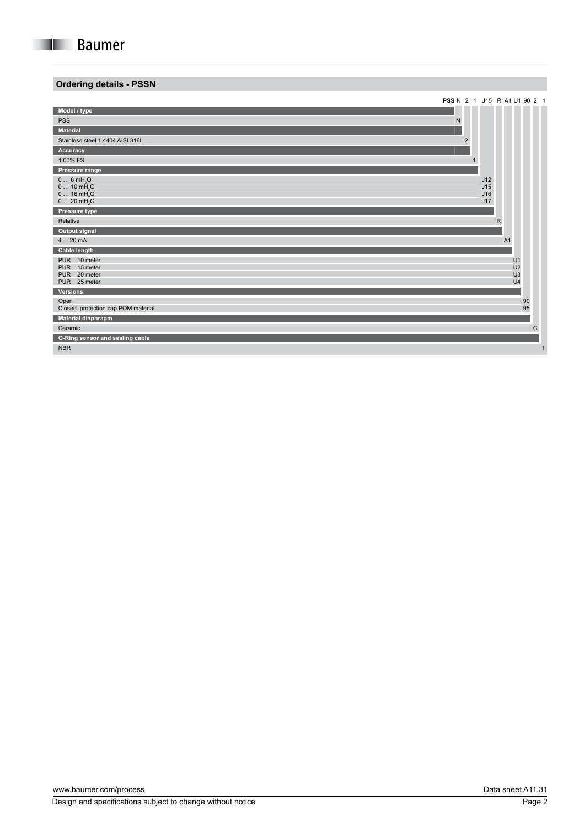## **Ordering details - PSSN**

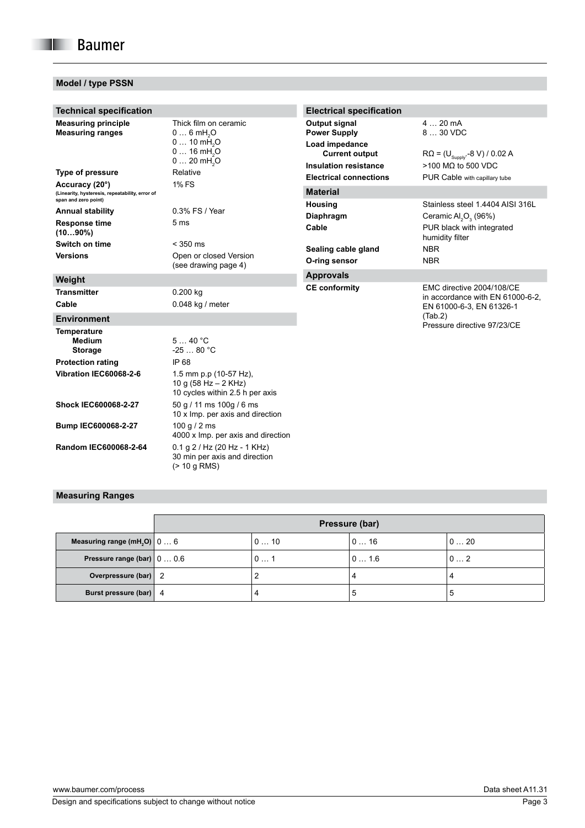## **Model / type PSSN**

| <b>Technical specification</b>                                                            |                                                                                                                                 | <b>Electrical specification</b>                                                                                 |                                                                                                               |
|-------------------------------------------------------------------------------------------|---------------------------------------------------------------------------------------------------------------------------------|-----------------------------------------------------------------------------------------------------------------|---------------------------------------------------------------------------------------------------------------|
| <b>Measuring principle</b><br><b>Measuring ranges</b>                                     | Thick film on ceramic<br>$06$ mH <sub>2</sub> O<br>$010$ mH <sub>2</sub> O<br>$016$ mH <sub>2</sub> O<br>0 20 mH <sub>2</sub> O | Output signal<br><b>Power Supply</b><br>Load impedance<br><b>Current output</b><br><b>Insulation resistance</b> | $420$ mA<br>8  30 VDC<br>$R\Omega = (U_{\text{Supoly}} - 8 \text{ V}) / 0.02 \text{ A}$<br>>100 MΩ to 500 VDC |
| <b>Type of pressure</b>                                                                   | Relative                                                                                                                        | <b>Electrical connections</b>                                                                                   | PUR Cable with capillary tube                                                                                 |
| Accuracy (20°)<br>(Linearity, hysteresis, repeatability, error of<br>span and zero point) | 1% FS                                                                                                                           | <b>Material</b>                                                                                                 |                                                                                                               |
| <b>Annual stability</b>                                                                   | 0.3% FS / Year                                                                                                                  | <b>Housing</b>                                                                                                  | Stainless steel 1.4404 AISI 316L                                                                              |
| <b>Response time</b><br>$(1090\%)$                                                        | 5 <sub>ms</sub>                                                                                                                 | Diaphragm<br>Cable                                                                                              | Ceramic Al <sub>2</sub> O <sub>2</sub> (96%)<br>PUR black with integrated<br>humidity filter                  |
| Switch on time                                                                            | $<$ 350 ms                                                                                                                      | Sealing cable gland                                                                                             | <b>NBR</b>                                                                                                    |
| <b>Versions</b>                                                                           | Open or closed Version<br>(see drawing page 4)                                                                                  | O-ring sensor                                                                                                   | <b>NBR</b>                                                                                                    |
| Weight                                                                                    |                                                                                                                                 | <b>Approvals</b>                                                                                                |                                                                                                               |
| <b>Transmitter</b><br>Cable                                                               | 0.200 kg<br>0.048 kg / meter                                                                                                    | <b>CE conformity</b>                                                                                            | EMC directive 2004/108/CE<br>in accordance with EN 61000-6-2.<br>EN 61000-6-3, EN 61326-1                     |
| <b>Environment</b>                                                                        |                                                                                                                                 |                                                                                                                 | (Tab.2)<br>Pressure directive 97/23/CE                                                                        |
| <b>Temperature</b><br><b>Medium</b><br><b>Storage</b><br><b>Protection rating</b>         | 540 °C<br>$-2580 °C$<br>IP 68                                                                                                   |                                                                                                                 |                                                                                                               |
| Vibration IEC60068-2-6                                                                    | 1.5 mm p.p (10-57 Hz),<br>10 g $(58 Hz - 2 KHz)$<br>10 cycles within 2.5 h per axis                                             |                                                                                                                 |                                                                                                               |
| Shock IEC600068-2-27                                                                      | 50 g / 11 ms 100g / 6 ms<br>10 x Imp. per axis and direction                                                                    |                                                                                                                 |                                                                                                               |
| Bump IEC600068-2-27                                                                       | 100 g $/$ 2 ms<br>4000 x Imp. per axis and direction                                                                            |                                                                                                                 |                                                                                                               |
| Random IEC600068-2-64                                                                     | $0.1$ g $2$ / Hz (20 Hz - 1 KHz)<br>30 min per axis and direction<br>$(> 10$ g RMS)                                             |                                                                                                                 |                                                                                                               |

# **Measuring Ranges**

|                                                              | Pressure (bar) |        |          |               |
|--------------------------------------------------------------|----------------|--------|----------|---------------|
| Measuring range (mH <sub>2</sub> O) $\vert 0 \ldots 6 \vert$ |                | 0 … 10 | l 0 … 16 | $0 \ldots 20$ |
| Pressure range (bar) $\vert 0 \ldots 0.6 \vert$              |                | 0  1   | 0 … 1.6  | 02            |
| Overpressure (bar) 2                                         |                |        |          |               |
| Burst pressure (bar)   4                                     |                |        | э        |               |